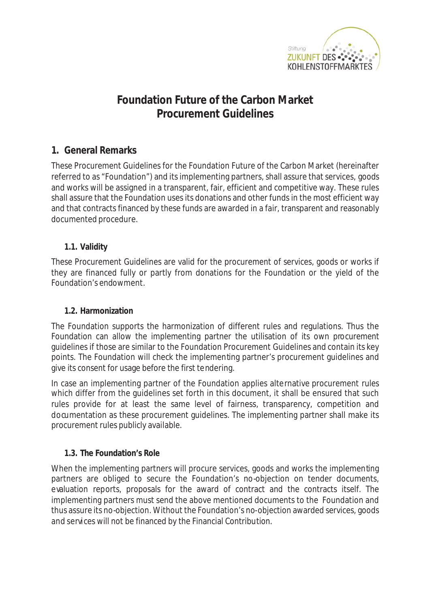

# **Foundation Future of the Carbon Market Procurement Guidelines**

## **1. General Remarks**

These Procurement Guidelines for the Foundation Future of the Carbon Market (hereinafter referred to as "Foundation") and its implementing partners, shall assure that services, goods and works will be assigned in a transparent, fair, efficient and competitive way. These rules shall assure that the Foundation uses its donations and other funds in the most efficient way and that contracts financed by these funds are awarded in a fair, transparent and reasonably documented procedure.

## **1.1. Validity**

These Procurement Guidelines are valid for the procurement of services, goods or works if they are financed fully or partly from donations for the Foundation or the yield of the Foundation's endowment.

## **1.2. Harmonization**

The Foundation supports the harmonization of different rules and regulations. Thus the Foundation can allow the implementing partner the utilisation of its own procurement guidelines if those are similar to the Foundation Procurement Guidelines and contain its key points. The Foundation will check the implementing partner's procurement guidelines and give its consent for usage before the first tendering.

In case an implementing partner of the Foundation applies alternative procurement rules which differ from the guidelines set forth in this document, it shall be ensured that such rules provide for at least the same level of fairness, transparency, competition and documentation as these procurement guidelines. The implementing partner shall make its procurement rules publicly available.

## **1.3. The Foundation's Role**

When the implementing partners will procure services, goods and works the implementing partners are obliged to secure the Foundation's no-objection on tender documents, evaluation reports, proposals for the award of contract and the contracts itself. The implementing partners must send the above mentioned documents to the Foundation and thus assure its no-objection. Without the Foundation's no-objection awarded services, goods and services will not be financed by the Financial Contribution.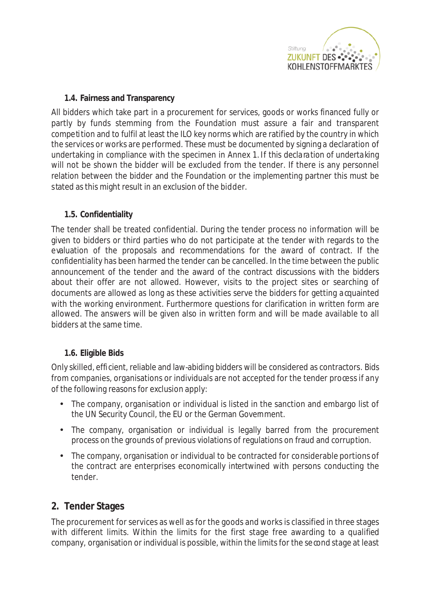

#### **1.4. Fairness and Transparency**

All bidders which take part in a procurement for services, goods or works financed fully or partly by funds stemming from the Foundation must assure a fair and transparent competition and to fulfil at least the ILO key norms which are ratified by the country in which the services or works are performed. These must be documented by signing a declaration of undertaking in compliance with the specimen in Annex 1. If this declaration of undertaking will not be shown the bidder will be excluded from the tender. If there is any personnel relation between the bidder and the Foundation or the implementing partner this must be stated as this might result in an exclusion of the bidder.

### **1.5. Confidentiality**

The tender shall be treated confidential. During the tender process no information will be given to bidders or third parties who do not participate at the tender with regards to the evaluation of the proposals and recommendations for the award of contract. If the confidentiality has been harmed the tender can be cancelled. In the time between the public announcement of the tender and the award of the contract discussions with the bidders about their offer are not allowed. However, visits to the project sites or searching of documents are allowed as long as these activities serve the bidders for getting acquainted with the working environment. Furthermore questions for clarification in written form are allowed. The answers will be given also in written form and will be made available to all bidders at the same time.

#### **1.6. Eligible Bids**

Only skilled, efficient, reliable and law-abiding bidders will be considered as contractors. Bids from companies, organisations or individuals are not accepted for the tender process if any of the following reasons for exclusion apply:

- The company, organisation or individual is listed in the sanction and embargo list of the UN Security Council, the EU or the German Government.
- The company, organisation or individual is legally barred from the procurement process on the grounds of previous violations of regulations on fraud and corruption.
- The company, organisation or individual to be contracted for considerable portions of the contract are enterprises economically intertwined with persons conducting the tender.

## **2. Tender Stages**

The procurement for services as well as for the goods and works is classified in three stages with different limits. Within the limits for the first stage free awarding to a qualified company, organisation or individual is possible, within the limits for the second stage at least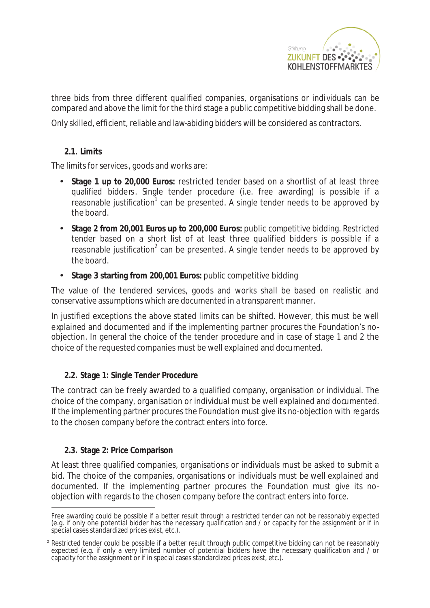

three bids from three different qualified companies, organisations or individuals can be compared and above the limit for the third stage a public competitive bidding shall be done.

Only skilled, efficient, reliable and law-abiding bidders will be considered as contractors.

#### **2.1. Limits**

The limits for services, goods and works are:

- **Stage 1 up to 20,000 Euros:** restricted tender based on a shortlist of at least three qualified bidders. Single tender procedure (i.e. free awarding) is possible if a reasonable justification<sup>1</sup> can be presented. A single tender needs to be approved by the board.
- **Stage 2 from 20,001 Euros up to 200,000 Euros:** public competitive bidding. Restricted tender based on a short list of at least three qualified bidders is possible if a reasonable justification<sup>2</sup> can be presented. A single tender needs to be approved by the board.
- **Stage 3 starting from 200,001 Euros:** public competitive bidding

The value of the tendered services, goods and works shall be based on realistic and conservative assumptions which are documented in a transparent manner.

In justified exceptions the above stated limits can be shifted. However, this must be well explained and documented and if the implementing partner procures the Foundation's noobjection. In general the choice of the tender procedure and in case of stage 1 and 2 the choice of the requested companies must be well explained and documented.

## **2.2. Stage 1: Single Tender Procedure**

The contract can be freely awarded to a qualified company, organisation or individual. The choice of the company, organisation or individual must be well explained and documented. If the implementing partner procures the Foundation must give its no-objection with regards to the chosen company before the contract enters into force.

#### **2.3. Stage 2: Price Comparison**

At least three qualified companies, organisations or individuals must be asked to submit a bid. The choice of the companies, organisations or individuals must be well explained and documented. If the implementing partner procures the Foundation must give its noobjection with regards to the chosen company before the contract enters into force.

<sup>1</sup> Free awarding could be possible if a better result through a restricted tender can not be reasonably expected (e.g. if only one potential bidder has the necessary qualification and / or capacity for the assignment or if in special cases standardized prices exist, etc.).

<sup>&</sup>lt;sup>2</sup> Restricted tender could be possible if a better result through public competitive bidding can not be reasonably expected (e.g. if only a very limited number of potential bidders have the necessary qualification and / or capacity for the assignment or if in special cases standardized prices exist, etc.).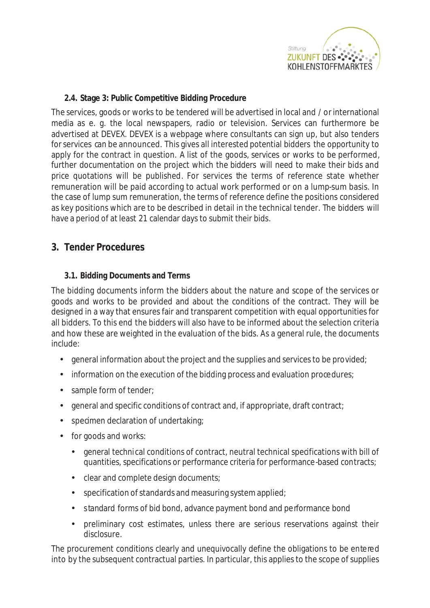

### **2.4. Stage 3: Public Competitive Bidding Procedure**

The services, goods or works to be tendered will be advertised in local and / orinternational media as e. g. the local newspapers, radio or television. Services can furthermore be advertised at DEVEX. DEVEX is a webpage where consultants can sign up, but also tenders for services can be announced. This gives all interested potential bidders the opportunity to apply for the contract in question. A list of the goods, services or works to be performed, further documentation on the project which the bidders will need to make their bids and price quotations will be published. For services the terms of reference state whether remuneration will be paid according to actual work performed or on a lump-sum basis. In the case of lump sum remuneration, the terms of reference define the positions considered as key positions which are to be described in detail in the technical tender. The bidders will have a period of at least 21 calendar days to submit their bids.

## **3. Tender Procedures**

#### **3.1. Bidding Documents and Terms**

The bidding documents inform the bidders about the nature and scope of the services or goods and works to be provided and about the conditions of the contract. They will be designed in a way that ensures fair and transparent competition with equal opportunities for all bidders. To this end the bidders will also have to be informed about the selection criteria and how these are weighted in the evaluation of the bids. As a general rule, the documents include:

- general information about the project and the supplies and services to be provided;
- information on the execution of the bidding process and evaluation procedures;
- sample form of tender;
- general and specific conditions of contract and, if appropriate, draft contract;
- specimen declaration of undertaking;
- for goods and works:
	- general technical conditions of contract, neutral technical specifications with bill of quantities, specifications or performance criteria for performance-based contracts;
	- clear and complete design documents;
	- specification of standards and measuring system applied;
	- standard forms of bid bond, advance payment bond and performance bond
	- preliminary cost estimates, unless there are serious reservations against their disclosure.

The procurement conditions clearly and unequivocally define the obligations to be entered into by the subsequent contractual parties. In particular, this applies to the scope of supplies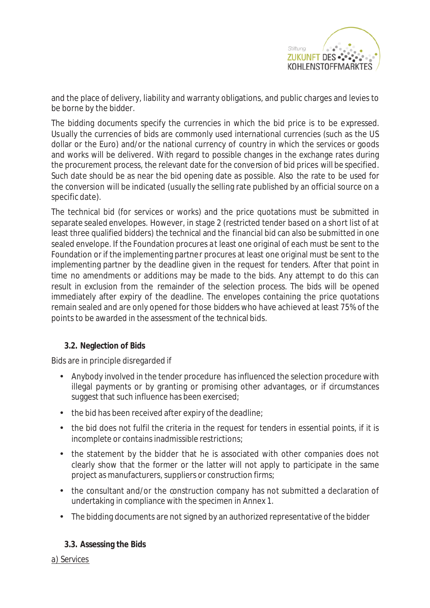

and the place of delivery, liability and warranty obligations, and public charges and levies to be borne by the bidder.

The bidding documents specify the currencies in which the bid price is to be expressed. Usually the currencies of bids are commonly used international currencies (such as the US dollar or the Euro) and/or the national currency of country in which the services or goods and works will be delivered. With regard to possible changes in the exchange rates during the procurement process, the relevant date for the conversion of bid prices will be specified. Such date should be as near the bid opening date as possible. Also the rate to be used for the conversion will be indicated (usually the selling rate published by an official source on a specific date).

The technical bid (for services or works) and the price quotations must be submitted in separate sealed envelopes. However, in stage 2 (restricted tender based on a short list of at least three qualified bidders) the technical and the financial bid can also be submitted in one sealed envelope. If the Foundation procures at least one original of each must be sent to the Foundation or if the implementing partner procures at least one original must be sent to the implementing partner by the deadline given in the request for tenders. After that point in time no amendments or additions may be made to the bids. Any attempt to do this can result in exclusion from the remainder of the selection process. The bids will be opened immediately after expiry of the deadline. The envelopes containing the price quotations remain sealed and are only opened for those bidders who have achieved at least 75% of the points to be awarded in the assessment of the technical bids.

#### **3.2. Neglection of Bids**

Bids are in principle disregarded if

- Anybody involved in the tender procedure has influenced the selection procedure with illegal payments or by granting or promising other advantages, or if circumstances suggest that such influence has been exercised;
- $\bullet$  the bid has been received after expiry of the deadline;
- the bid does not fulfil the criteria in the request for tenders in essential points, if it is incomplete or contains inadmissible restrictions;
- the statement by the bidder that he is associated with other companies does not clearly show that the former or the latter will not apply to participate in the same project as manufacturers, suppliers or construction firms;
- the consultant and/or the construction company has not submitted a declaration of undertaking in compliance with the specimen in Annex 1.
- The bidding documents are not signed by an authorized representative of the bidder

#### **3.3. Assessing the Bids**

a) Services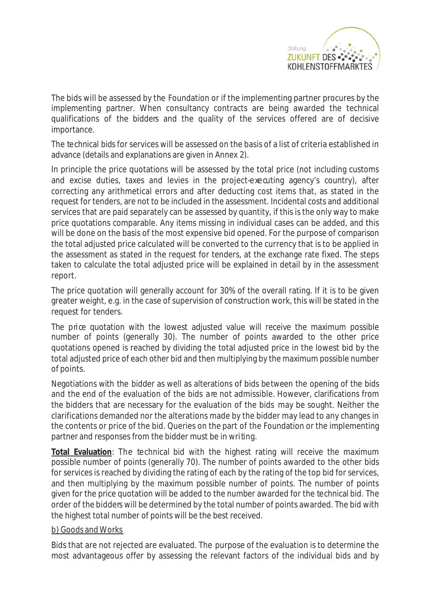

The bids will be assessed by the Foundation or if the implementing partner procures by the implementing partner. When consultancy contracts are being awarded the technical qualifications of the bidders and the quality of the services offered are of decisive importance.

The technical bids for services will be assessed on the basis of a list of criteria established in advance (details and explanations are given in Annex 2).

In principle the price quotations will be assessed by the total price (not including customs and excise duties, taxes and levies in the project-executing agency's country), after correcting any arithmetical errors and after deducting cost items that, as stated in the request for tenders, are not to be included in the assessment. Incidental costs and additional services that are paid separately can be assessed by quantity, if this is the only way to make price quotations comparable. Any items missing in individual cases can be added, and this will be done on the basis of the most expensive bid opened. For the purpose of comparison the total adjusted price calculated will be converted to the currency that is to be applied in the assessment as stated in the request for tenders, at the exchange rate fixed. The steps taken to calculate the total adjusted price will be explained in detail by in the assessment report.

The price quotation will generally account for 30% of the overall rating. If it is to be given greater weight, e.g. in the case of supervision of construction work, this will be stated in the request for tenders.

The price quotation with the lowest adjusted value will receive the maximum possible number of points (generally 30). The number of points awarded to the other price quotations opened is reached by dividing the total adjusted price in the lowest bid by the total adjusted price of each other bid and then multiplying by the maximum possible number of points.

Negotiations with the bidder as well as alterations of bids between the opening of the bids and the end of the evaluation of the bids are not admissible. However, clarifications from the bidders that are necessary for the evaluation of the bids may be sought. Neither the clarifications demanded nor the alterations made by the bidder may lead to any changes in the contents or price of the bid. Queries on the part of the Foundation or the implementing partner and responses from the bidder must be in writing.

**Total Evaluation**: The technical bid with the highest rating will receive the maximum possible number of points (generally 70). The number of points awarded to the other bids for services is reached by dividing the rating of each by the rating of the top bid for services, and then multiplying by the maximum possible number of points. The number of points given for the price quotation will be added to the number awarded for the technical bid. The order of the bidders will be determined by the total number of points awarded. The bid with the highest total number of points will be the best received.

#### b) Goods and Works

Bids that are not rejected are evaluated. The purpose of the evaluation is to determine the most advantageous offer by assessing the relevant factors of the individual bids and by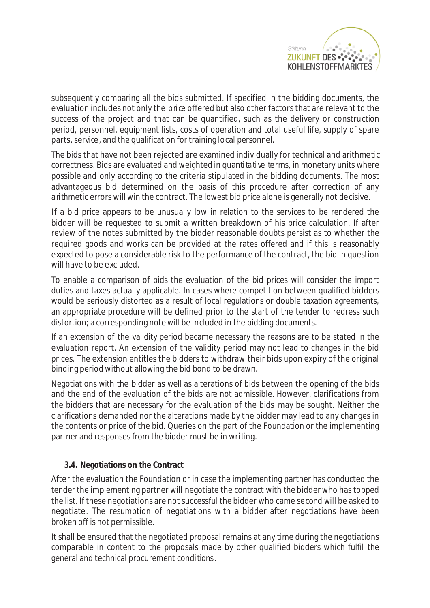

subsequently comparing all the bids submitted. If specified in the bidding documents, the evaluation includes not only the price offered but also other factors that are relevant to the success of the project and that can be quantified, such as the delivery or construction period, personnel, equipment lists, costs of operation and total useful life, supply of spare parts, service, and the qualification for training local personnel.

The bids that have not been rejected are examined individually for technical and arithmetic correctness. Bids are evaluated and weighted in quantitative terms, in monetary units where possible and only according to the criteria stipulated in the bidding documents. The most advantageous bid determined on the basis of this procedure after correction of any arithmetic errors will win the contract. The lowest bid price alone is generally not decisive.

If a bid price appears to be unusually low in relation to the services to be rendered the bidder will be requested to submit a written breakdown of his price calculation. If after review of the notes submitted by the bidder reasonable doubts persist as to whether the required goods and works can be provided at the rates offered and if this is reasonably expected to pose a considerable risk to the performance of the contract, the bid in question will have to be excluded.

To enable a comparison of bids the evaluation of the bid prices will consider the import duties and taxes actually applicable. In cases where competition between qualified bidders would be seriously distorted as a result of local regulations or double taxation agreements, an appropriate procedure will be defined prior to the start of the tender to redress such distortion; a corresponding note will be included in the bidding documents.

If an extension of the validity period became necessary the reasons are to be stated in the evaluation report. An extension of the validity period may not lead to changes in the bid prices. The extension entitles the bidders to withdraw their bids upon expiry of the original binding period without allowing the bid bond to be drawn.

Negotiations with the bidder as well as alterations of bids between the opening of the bids and the end of the evaluation of the bids are not admissible. However, clarifications from the bidders that are necessary for the evaluation of the bids may be sought. Neither the clarifications demanded nor the alterations made by the bidder may lead to any changes in the contents or price of the bid. Queries on the part of the Foundation or the implementing partner and responses from the bidder must be in writing.

#### **3.4. Negotiations on the Contract**

After the evaluation the Foundation or in case the implementing partner has conducted the tender the implementing partner will negotiate the contract with the bidder who has topped the list. If these negotiations are not successful the bidder who came second will be asked to negotiate. The resumption of negotiations with a bidder after negotiations have been broken off is not permissible.

It shall be ensured that the negotiated proposal remains at any time during the negotiations comparable in content to the proposals made by other qualified bidders which fulfil the general and technical procurement conditions.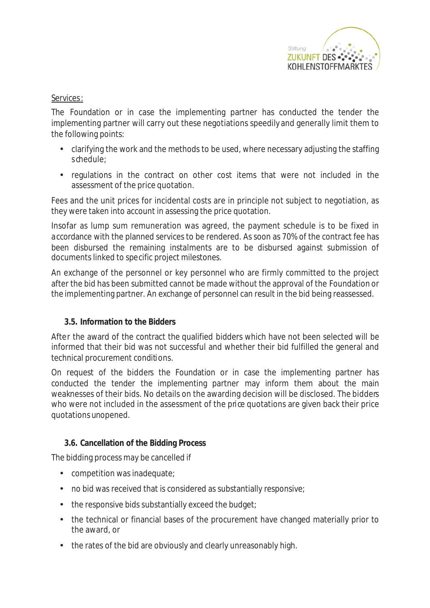

#### Services:

The Foundation or in case the implementing partner has conducted the tender the implementing partner will carry out these negotiations speedily and generally limit them to the following points:

- clarifying the work and the methods to be used, where necessary adjusting the staffing schedule;
- regulations in the contract on other cost items that were not included in the assessment of the price quotation.

Fees and the unit prices for incidental costs are in principle not subject to negotiation, as they were taken into account in assessing the price quotation.

Insofar as lump sum remuneration was agreed, the payment schedule is to be fixed in accordance with the planned services to be rendered. As soon as 70% of the contract fee has been disbursed the remaining instalments are to be disbursed against submission of documents linked to specific project milestones.

An exchange of the personnel or key personnel who are firmly committed to the project after the bid has been submitted cannot be made without the approval of the Foundation or the implementing partner. An exchange of personnel can result in the bid being reassessed.

#### **3.5. Information to the Bidders**

After the award of the contract the qualified bidders which have not been selected will be informed that their bid was not successful and whether their bid fulfilled the general and technical procurement conditions.

On request of the bidders the Foundation or in case the implementing partner has conducted the tender the implementing partner may inform them about the main weaknesses of their bids. No details on the awarding decision will be disclosed. The bidders who were not included in the assessment of the price quotations are given back their price quotations unopened.

#### **3.6. Cancellation of the Bidding Process**

The bidding process may be cancelled if

- competition was inadequate;
- no bid was received that is considered as substantially responsive;
- the responsive bids substantially exceed the budget;
- the technical or financial bases of the procurement have changed materially prior to the award, or
- the rates of the bid are obviously and clearly unreasonably high.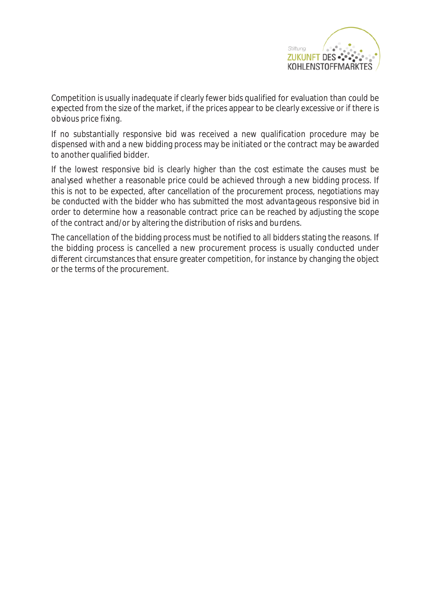

Competition is usually inadequate if clearly fewer bids qualified for evaluation than could be expected from the size of the market, if the prices appear to be clearly excessive or if there is obvious price fixing.

If no substantially responsive bid was received a new qualification procedure may be dispensed with and a new bidding process may be initiated or the contract may be awarded to another qualified bidder.

If the lowest responsive bid is clearly higher than the cost estimate the causes must be analysed whether a reasonable price could be achieved through a new bidding process. If this is not to be expected, after cancellation of the procurement process, negotiations may be conducted with the bidder who has submitted the most advantageous responsive bid in order to determine how a reasonable contract price can be reached by adjusting the scope of the contract and/or by altering the distribution of risks and burdens.

The cancellation of the bidding process must be notified to all bidders stating the reasons. If the bidding process is cancelled a new procurement process is usually conducted under different circumstances that ensure greater competition, for instance by changing the object or the terms of the procurement.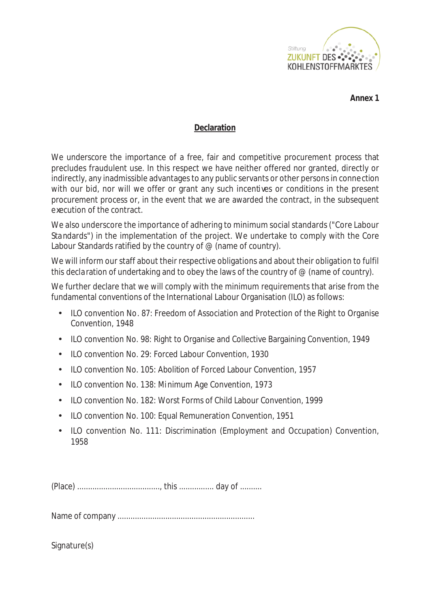

**Annex 1**

#### **Declaration**

We underscore the importance of a free, fair and competitive procurement process that precludes fraudulent use. In this respect we have neither offered nor granted, directly or indirectly, any inadmissible advantages to any public servants or other persons in connection with our bid, nor will we offer or grant any such incentives or conditions in the present procurement process or, in the event that we are awarded the contract, in the subsequent execution of the contract.

We also underscore the importance of adhering to minimum social standards ("Core Labour Standards") in the implementation of the project. We undertake to comply with the Core Labour Standards ratified by the country of  $\mathcal O$  (name of country).

We will inform our staff about their respective obligations and about their obligation to fulfil this declaration of undertaking and to obey the laws of the country of  $\mathcal O$  (name of country).

We further declare that we will comply with the minimum requirements that arise from the fundamental conventions of the International Labour Organisation (ILO) as follows:

- ILO convention No. 87: Freedom of Association and Protection of the Right to Organise Convention, 1948
- ILO convention No. 98: Right to Organise and Collective Bargaining Convention, 1949
- ILO convention No. 29: Forced Labour Convention, 1930
- ILO convention No. 105: Abolition of Forced Labour Convention, 1957
- ILO convention No. 138: Minimum Age Convention, 1973
- ILO convention No. 182: Worst Forms of Child Labour Convention, 1999
- ILO convention No. 100: Equal Remuneration Convention, 1951
- ILO convention No. 111: Discrimination (Employment and Occupation) Convention, 1958

(Place) ......................................, this ................ day of ..........

Name of company ...............................................................

Signature(s)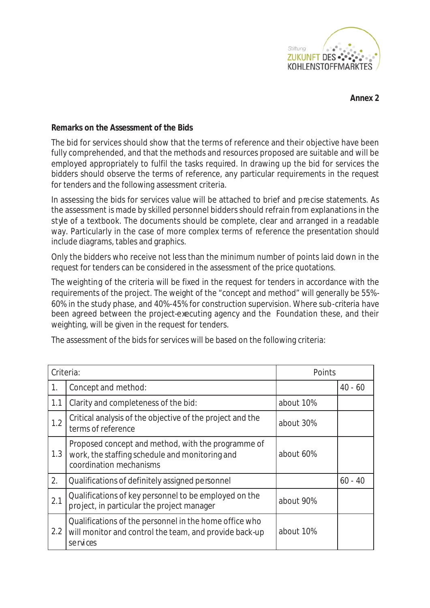

**Annex 2**

#### **Remarks on the Assessment of the Bids**

The bid for services should show that the terms of reference and their objective have been fully comprehended, and that the methods and resources proposed are suitable and will be employed appropriately to fulfil the tasks required. In drawing up the bid for services the bidders should observe the terms of reference, any particular requirements in the request for tenders and the following assessment criteria.

In assessing the bids for services value will be attached to brief and precise statements. As the assessment is made by skilled personnel bidders should refrain from explanations in the style of a textbook. The documents should be complete, clear and arranged in a readable way. Particularly in the case of more complex terms of reference the presentation should include diagrams, tables and graphics.

Only the bidders who receive not less than the minimum number of points laid down in the request for tenders can be considered in the assessment of the price quotations.

The weighting of the criteria will be fixed in the request for tenders in accordance with the requirements of the project. The weight of the "concept and method" will generally be 55%- 60% in the study phase, and 40%-45% for construction supervision. Where sub-criteria have been agreed between the project-executing agency and the Foundation these, and their weighting, will be given in the request for tenders.

The assessment of the bids for services will be based on the following criteria:

| Criteria: |                                                                                                                                 | Points    |           |
|-----------|---------------------------------------------------------------------------------------------------------------------------------|-----------|-----------|
| 1.        | Concept and method:                                                                                                             |           | $40 - 60$ |
| 1.1       | Clarity and completeness of the bid:                                                                                            | about 10% |           |
| 1.2       | Critical analysis of the objective of the project and the<br>terms of reference                                                 | about 30% |           |
| 1.3       | Proposed concept and method, with the programme of<br>work, the staffing schedule and monitoring and<br>coordination mechanisms | about 60% |           |
| 2.        | Qualifications of definitely assigned personnel                                                                                 |           | $60 - 40$ |
| 2.1       | Qualifications of key personnel to be employed on the<br>project, in particular the project manager                             | about 90% |           |
| 2.2       | Qualifications of the personnel in the home office who<br>will monitor and control the team, and provide back-up<br>services    | about 10% |           |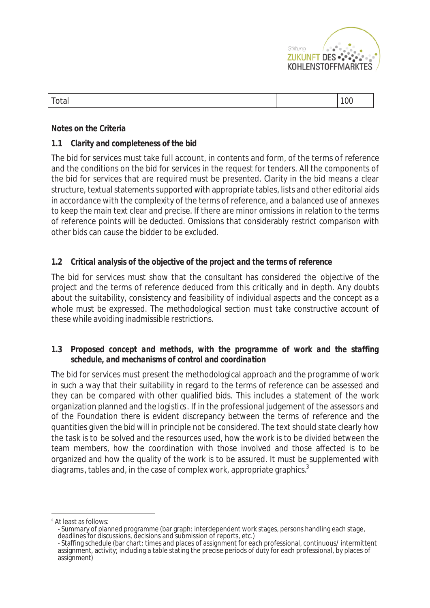

#### **Notes on the Criteria**

#### *1.1 Clarity and completeness of the bid*

The bid for services must take full account, in contents and form, of the terms of reference and the conditions on the bid for services in the request for tenders. All the components of the bid for services that are required must be presented. Clarity in the bid means a clear structure, textual statements supported with appropriate tables, lists and other editorial aids in accordance with the complexity of the terms of reference, and a balanced use of annexes to keep the main text clear and precise. If there are minor omissions in relation to the terms of reference points will be deducted. Omissions that considerably restrict comparison with other bids can cause the bidder to be excluded.

#### *1.2 Critical analysis of the objective of the project and the terms of reference*

The bid for services must show that the consultant has considered the objective of the project and the terms of reference deduced from this critically and in depth. Any doubts about the suitability, consistency and feasibility of individual aspects and the concept as a whole must be expressed. The methodological section must take constructive account of these while avoiding inadmissible restrictions.

#### *1.3 Proposed concept and methods, with the programme of work and the staffing schedule, and mechanisms of control and coordination*

The bid for services must present the methodological approach and the programme of work in such a way that their suitability in regard to the terms of reference can be assessed and they can be compared with other qualified bids. This includes a statement of the work organization planned and the logistics. If in the professional judgement of the assessors and of the Foundation there is evident discrepancy between the terms of reference and the quantities given the bid will in principle not be considered. The text should state clearly how the task is to be solved and the resources used, how the work is to be divided between the team members, how the coordination with those involved and those affected is to be organized and how the quality of the work is to be assured. It must be supplemented with diagrams, tables and, in the case of complex work, appropriate graphics. $3$ 

<sup>&</sup>lt;sup>3</sup> At least as follows:

<sup>-</sup> Summary of planned programme (bar graph: interdependent work stages, persons handling each stage, deadlines for discussions, decisions and submission of reports, etc.)

<sup>-</sup> Staffing schedule (bar chart: times and places of assignment for each professional, continuous/ intermittent assignment, activity; including a table stating the precise periods of duty for each professional, by places of assignment)